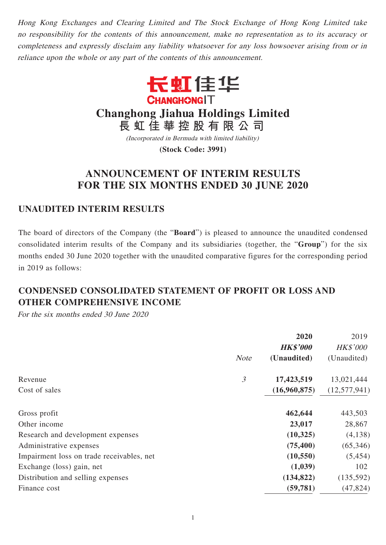Hong Kong Exchanges and Clearing Limited and The Stock Exchange of Hong Kong Limited take no responsibility for the contents of this announcement, make no representation as to its accuracy or completeness and expressly disclaim any liability whatsoever for any loss howsoever arising from or in reliance upon the whole or any part of the contents of this announcement.



**Changhong Jiahua Holdings Limited**

**長虹佳華控股有限公司**

(Incorporated in Bermuda with limited liability)

**(Stock Code: 3991)**

# **ANNOUNCEMENT OF INTERIM RESULTS FOR THE SIX MONTHS ENDED 30 JUNE 2020**

# **UNAUDITED INTERIM RESULTS**

The board of directors of the Company (the "**Board**") is pleased to announce the unaudited condensed consolidated interim results of the Company and its subsidiaries (together, the "**Group**") for the six months ended 30 June 2020 together with the unaudited comparative figures for the corresponding period in 2019 as follows:

# **CONDENSED CONSOLIDATED STATEMENT OF PROFIT OR LOSS AND OTHER COMPREHENSIVE INCOME**

For the six months ended 30 June 2020

|                                           |                | 2020<br><b>HK\$'000</b> | 2019<br><b>HK\$'000</b> |
|-------------------------------------------|----------------|-------------------------|-------------------------|
|                                           | <b>Note</b>    | (Unaudited)             | (Unaudited)             |
| Revenue                                   | $\mathfrak{Z}$ | 17,423,519              | 13,021,444              |
| Cost of sales                             |                | (16,960,875)            | (12,577,941)            |
| Gross profit                              |                | 462,644                 | 443,503                 |
| Other income                              |                | 23,017                  | 28,867                  |
| Research and development expenses         |                | (10, 325)               | (4,138)                 |
| Administrative expenses                   |                | (75, 400)               | (65, 346)               |
| Impairment loss on trade receivables, net |                | (10, 550)               | (5, 454)                |
| Exchange (loss) gain, net                 |                | (1,039)                 | 102                     |
| Distribution and selling expenses         |                | (134, 822)              | (135,592)               |
| Finance cost                              |                | (59, 781)               | (47, 824)               |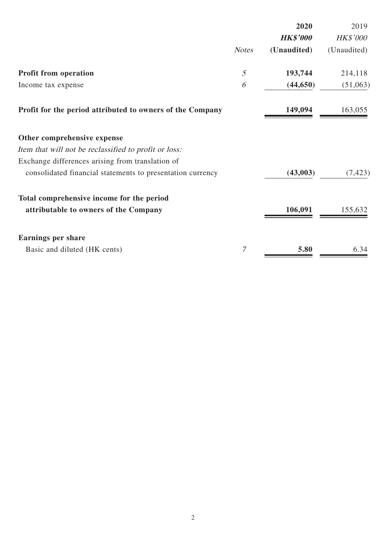|                                                            |              | 2020                           | 2019                           |
|------------------------------------------------------------|--------------|--------------------------------|--------------------------------|
|                                                            | <b>Notes</b> | <b>HK\$'000</b><br>(Unaudited) | <b>HK\$'000</b><br>(Unaudited) |
| <b>Profit from operation</b>                               | 5            | 193,744                        | 214,118                        |
| Income tax expense                                         | 6            | (44, 650)                      | (51,063)                       |
| Profit for the period attributed to owners of the Company  |              | 149,094                        | 163,055                        |
| Other comprehensive expense                                |              |                                |                                |
| Item that will not be reclassified to profit or loss:      |              |                                |                                |
| Exchange differences arising from translation of           |              |                                |                                |
| consolidated financial statements to presentation currency |              | (43,003)                       | (7, 423)                       |
| Total comprehensive income for the period                  |              |                                |                                |
| attributable to owners of the Company                      |              | 106,091                        | 155,632                        |
| <b>Earnings per share</b>                                  |              |                                |                                |
| Basic and diluted (HK cents)                               | 7            | 5.80                           | 6.34                           |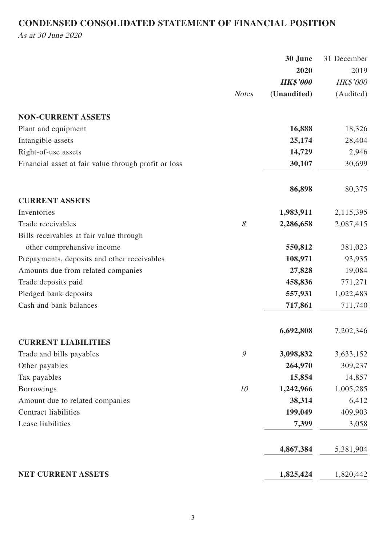# **CONDENSED CONSOLIDATED STATEMENT OF FINANCIAL POSITION**

As at 30 June 2020

|                                                      |              | 30 June         | 31 December |
|------------------------------------------------------|--------------|-----------------|-------------|
|                                                      |              | 2020            | 2019        |
|                                                      |              | <b>HK\$'000</b> | HK\$'000    |
|                                                      | <b>Notes</b> | (Unaudited)     | (Audited)   |
| <b>NON-CURRENT ASSETS</b>                            |              |                 |             |
| Plant and equipment                                  |              | 16,888          | 18,326      |
| Intangible assets                                    |              | 25,174          | 28,404      |
| Right-of-use assets                                  |              | 14,729          | 2,946       |
| Financial asset at fair value through profit or loss |              | 30,107          | 30,699      |
|                                                      |              | 86,898          | 80,375      |
| <b>CURRENT ASSETS</b>                                |              |                 |             |
| Inventories                                          |              | 1,983,911       | 2,115,395   |
| Trade receivables                                    | $\mathcal S$ | 2,286,658       | 2,087,415   |
| Bills receivables at fair value through              |              |                 |             |
| other comprehensive income                           |              | 550,812         | 381,023     |
| Prepayments, deposits and other receivables          |              | 108,971         | 93,935      |
| Amounts due from related companies                   |              | 27,828          | 19,084      |
| Trade deposits paid                                  |              | 458,836         | 771,271     |
| Pledged bank deposits                                |              | 557,931         | 1,022,483   |
| Cash and bank balances                               |              | 717,861         | 711,740     |
|                                                      |              | 6,692,808       | 7,202,346   |
| <b>CURRENT LIABILITIES</b>                           |              |                 |             |
| Trade and bills payables                             | 9            | 3,098,832       | 3,633,152   |
| Other payables                                       |              | 264,970         | 309,237     |
| Tax payables                                         |              | 15,854          | 14,857      |
| <b>Borrowings</b>                                    | 10           | 1,242,966       | 1,005,285   |
| Amount due to related companies                      |              | 38,314          | 6,412       |
| <b>Contract liabilities</b>                          |              | 199,049         | 409,903     |
| Lease liabilities                                    |              | 7,399           | 3,058       |
|                                                      |              | 4,867,384       | 5,381,904   |
| NET CURRENT ASSETS                                   |              | 1,825,424       | 1,820,442   |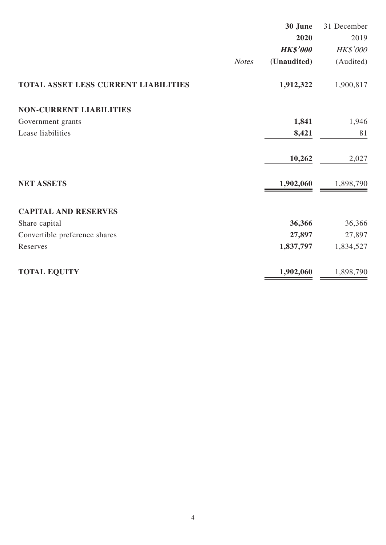|                                      | 30 June         | 31 December |
|--------------------------------------|-----------------|-------------|
|                                      | 2020            | 2019        |
|                                      | <b>HK\$'000</b> | HK\$'000    |
| <b>Notes</b>                         | (Unaudited)     | (Audited)   |
| TOTAL ASSET LESS CURRENT LIABILITIES | 1,912,322       | 1,900,817   |
| <b>NON-CURRENT LIABILITIES</b>       |                 |             |
| Government grants                    | 1,841           | 1,946       |
| Lease liabilities                    | 8,421           | 81          |
|                                      | 10,262          | 2,027       |
| <b>NET ASSETS</b>                    | 1,902,060       | 1,898,790   |
| <b>CAPITAL AND RESERVES</b>          |                 |             |
| Share capital                        | 36,366          | 36,366      |
| Convertible preference shares        | 27,897          | 27,897      |
| Reserves                             | 1,837,797       | 1,834,527   |
| <b>TOTAL EQUITY</b>                  | 1,902,060       | 1,898,790   |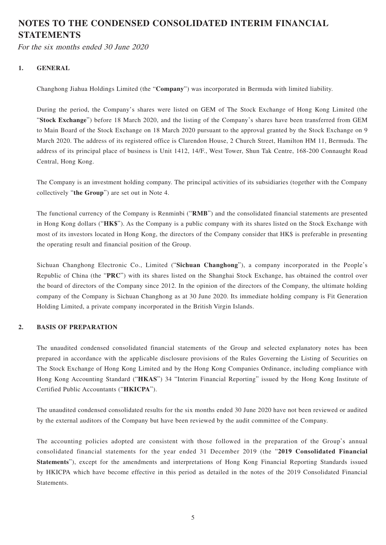# **NOTES TO THE CONDENSED CONSOLIDATED INTERIM FINANCIAL STATEMENTS**

For the six months ended 30 June 2020

### **1. GENERAL**

Changhong Jiahua Holdings Limited (the "**Company**") was incorporated in Bermuda with limited liability.

During the period, the Company's shares were listed on GEM of The Stock Exchange of Hong Kong Limited (the "**Stock Exchange**") before 18 March 2020, and the listing of the Company's shares have been transferred from GEM to Main Board of the Stock Exchange on 18 March 2020 pursuant to the approval granted by the Stock Exchange on 9 March 2020. The address of its registered office is Clarendon House, 2 Church Street, Hamilton HM 11, Bermuda. The address of its principal place of business is Unit 1412, 14/F., West Tower, Shun Tak Centre, 168-200 Connaught Road Central, Hong Kong.

The Company is an investment holding company. The principal activities of its subsidiaries (together with the Company collectively "**the Group**") are set out in Note 4.

The functional currency of the Company is Renminbi ("**RMB**") and the consolidated financial statements are presented in Hong Kong dollars ("**HK\$**"). As the Company is a public company with its shares listed on the Stock Exchange with most of its investors located in Hong Kong, the directors of the Company consider that HK\$ is preferable in presenting the operating result and financial position of the Group.

Sichuan Changhong Electronic Co., Limited ("**Sichuan Changhong**"), a company incorporated in the People's Republic of China (the "**PRC**") with its shares listed on the Shanghai Stock Exchange, has obtained the control over the board of directors of the Company since 2012. In the opinion of the directors of the Company, the ultimate holding company of the Company is Sichuan Changhong as at 30 June 2020. Its immediate holding company is Fit Generation Holding Limited, a private company incorporated in the British Virgin Islands.

#### **2. BASIS OF PREPARATION**

The unaudited condensed consolidated financial statements of the Group and selected explanatory notes has been prepared in accordance with the applicable disclosure provisions of the Rules Governing the Listing of Securities on The Stock Exchange of Hong Kong Limited and by the Hong Kong Companies Ordinance, including compliance with Hong Kong Accounting Standard ("**HKAS**") 34 "Interim Financial Reporting" issued by the Hong Kong Institute of Certified Public Accountants ("**HKICPA**").

The unaudited condensed consolidated results for the six months ended 30 June 2020 have not been reviewed or audited by the external auditors of the Company but have been reviewed by the audit committee of the Company.

The accounting policies adopted are consistent with those followed in the preparation of the Group's annual consolidated financial statements for the year ended 31 December 2019 (the "**2019 Consolidated Financial Statements**"), except for the amendments and interpretations of Hong Kong Financial Reporting Standards issued by HKICPA which have become effective in this period as detailed in the notes of the 2019 Consolidated Financial Statements.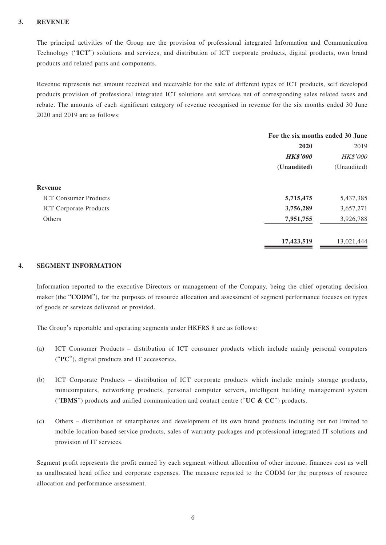#### **3. REVENUE**

The principal activities of the Group are the provision of professional integrated Information and Communication Technology ("**ICT**") solutions and services, and distribution of ICT corporate products, digital products, own brand products and related parts and components.

Revenue represents net amount received and receivable for the sale of different types of ICT products, self developed products provision of professional integrated ICT solutions and services net of corresponding sales related taxes and rebate. The amounts of each significant category of revenue recognised in revenue for the six months ended 30 June 2020 and 2019 are as follows:

|                               | For the six months ended 30 June |             |
|-------------------------------|----------------------------------|-------------|
|                               | 2020                             | 2019        |
|                               | <b>HK\$'000</b>                  | HK\$'000    |
|                               | (Unaudited)                      | (Unaudited) |
| Revenue                       |                                  |             |
| <b>ICT Consumer Products</b>  | 5,715,475                        | 5,437,385   |
| <b>ICT</b> Corporate Products | 3,756,289                        | 3,657,271   |
| Others                        | 7,951,755                        | 3,926,788   |
|                               | 17,423,519                       | 13,021,444  |
|                               |                                  |             |

### **4. SEGMENT INFORMATION**

Information reported to the executive Directors or management of the Company, being the chief operating decision maker (the "**CODM**"), for the purposes of resource allocation and assessment of segment performance focuses on types of goods or services delivered or provided.

The Group's reportable and operating segments under HKFRS 8 are as follows:

- (a) ICT Consumer Products distribution of ICT consumer products which include mainly personal computers ("**PC**"), digital products and IT accessories.
- (b) ICT Corporate Products distribution of ICT corporate products which include mainly storage products, minicomputers, networking products, personal computer servers, intelligent building management system ("**IBMS**") products and unified communication and contact centre ("**UC & CC**") products.
- (c) Others distribution of smartphones and development of its own brand products including but not limited to mobile location-based service products, sales of warranty packages and professional integrated IT solutions and provision of IT services.

Segment profit represents the profit earned by each segment without allocation of other income, finances cost as well as unallocated head office and corporate expenses. The measure reported to the CODM for the purposes of resource allocation and performance assessment.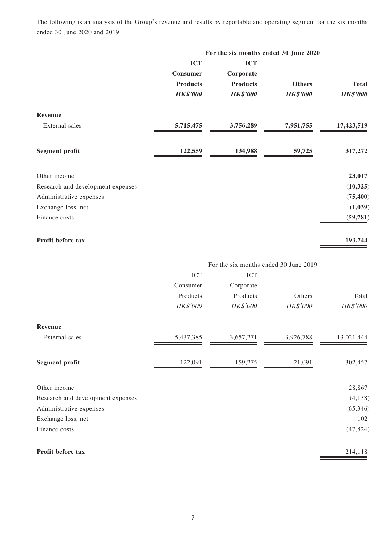The following is an analysis of the Group's revenue and results by reportable and operating segment for the six months ended 30 June 2020 and 2019:

|                                   |                 | For the six months ended 30 June 2020 |                 |                 |
|-----------------------------------|-----------------|---------------------------------------|-----------------|-----------------|
|                                   | <b>ICT</b>      | <b>ICT</b>                            |                 |                 |
|                                   | Consumer        | Corporate                             |                 |                 |
|                                   | <b>Products</b> | <b>Products</b>                       | <b>Others</b>   | <b>Total</b>    |
|                                   | <b>HK\$'000</b> | <b>HK\$'000</b>                       | <b>HK\$'000</b> | <b>HK\$'000</b> |
| Revenue                           |                 |                                       |                 |                 |
| External sales                    | 5,715,475       | 3,756,289                             | 7,951,755       | 17,423,519      |
| <b>Segment profit</b>             | 122,559         | 134,988                               | 59,725          | 317,272         |
| Other income                      |                 |                                       |                 | 23,017          |
| Research and development expenses |                 |                                       |                 | (10, 325)       |
| Administrative expenses           |                 |                                       |                 | (75, 400)       |
| Exchange loss, net                |                 |                                       |                 | (1,039)         |
| Finance costs                     |                 |                                       |                 | (59, 781)       |
| Profit before tax                 |                 |                                       |                 | 193,744         |

|                                   |           |            | For the six months ended 30 June 2019 |            |
|-----------------------------------|-----------|------------|---------------------------------------|------------|
|                                   | ICT       | <b>ICT</b> |                                       |            |
|                                   | Consumer  | Corporate  |                                       |            |
|                                   | Products  | Products   | Others                                | Total      |
|                                   | HK\$'000  | HK\$'000   | HK\$'000                              | HK\$'000   |
| Revenue                           |           |            |                                       |            |
| External sales                    | 5,437,385 | 3,657,271  | 3,926,788                             | 13,021,444 |
| <b>Segment profit</b>             | 122,091   | 159,275    | 21,091                                | 302,457    |
| Other income                      |           |            |                                       | 28,867     |
| Research and development expenses |           |            |                                       | (4, 138)   |
| Administrative expenses           |           |            |                                       | (65, 346)  |
| Exchange loss, net                |           |            |                                       | 102        |
| Finance costs                     |           |            |                                       | (47, 824)  |
| Profit before tax                 |           |            |                                       | 214,118    |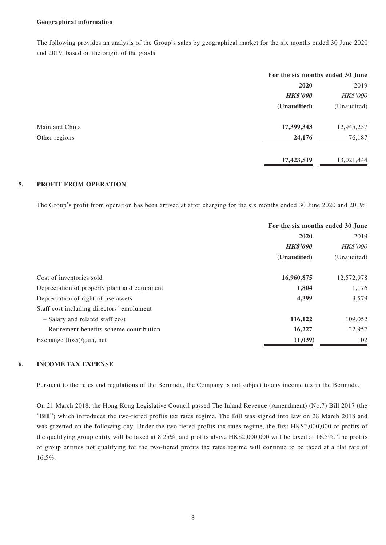#### **Geographical information**

The following provides an analysis of the Group's sales by geographical market for the six months ended 30 June 2020 and 2019, based on the origin of the goods:

|                | For the six months ended 30 June |             |
|----------------|----------------------------------|-------------|
|                | 2020                             | 2019        |
|                | <b>HK\$'000</b>                  | HK\$'000    |
|                | (Unaudited)                      | (Unaudited) |
| Mainland China | 17,399,343                       | 12,945,257  |
| Other regions  | 24,176                           | 76,187      |
|                | 17,423,519                       | 13,021,444  |

#### **5. PROFIT FROM OPERATION**

The Group's profit from operation has been arrived at after charging for the six months ended 30 June 2020 and 2019:

|                                              | For the six months ended 30 June |                 |
|----------------------------------------------|----------------------------------|-----------------|
|                                              | 2020                             |                 |
|                                              | <b>HK\$'000</b>                  | <b>HK\$'000</b> |
|                                              | (Unaudited)                      | (Unaudited)     |
| Cost of inventories sold                     | 16,960,875                       | 12,572,978      |
| Depreciation of property plant and equipment | 1,804                            | 1,176           |
| Depreciation of right-of-use assets          | 4,399                            | 3,579           |
| Staff cost including directors' emolument    |                                  |                 |
| - Salary and related staff cost              | 116,122                          | 109,052         |
| - Retirement benefits scheme contribution    | 16,227                           | 22,957          |
| Exchange (loss)/gain, net                    | (1,039)                          | 102             |

### **6. INCOME TAX EXPENSE**

Pursuant to the rules and regulations of the Bermuda, the Company is not subject to any income tax in the Bermuda.

On 21 March 2018, the Hong Kong Legislative Council passed The Inland Revenue (Amendment) (No.7) Bill 2017 (the "**Bill**") which introduces the two-tiered profits tax rates regime. The Bill was signed into law on 28 March 2018 and was gazetted on the following day. Under the two-tiered profits tax rates regime, the first HK\$2,000,000 of profits of the qualifying group entity will be taxed at 8.25%, and profits above HK\$2,000,000 will be taxed at 16.5%. The profits of group entities not qualifying for the two-tiered profits tax rates regime will continue to be taxed at a flat rate of 16.5%.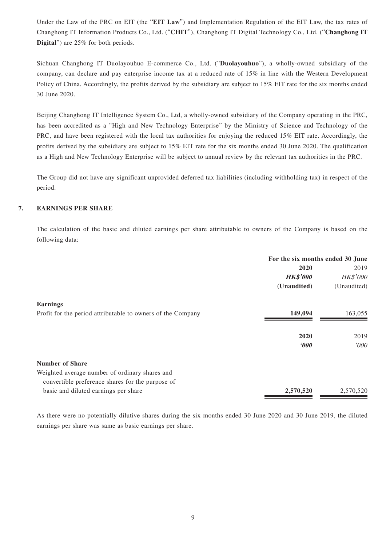Under the Law of the PRC on EIT (the "**EIT Law**") and Implementation Regulation of the EIT Law, the tax rates of Changhong IT Information Products Co., Ltd. ("**CHIT**"), Changhong IT Digital Technology Co., Ltd. ("**Changhong IT Digital**") are 25% for both periods.

Sichuan Changhong IT Duolayouhuo E-commerce Co., Ltd. ("**Duolayouhuo**"), a wholly-owned subsidiary of the company, can declare and pay enterprise income tax at a reduced rate of 15% in line with the Western Development Policy of China. Accordingly, the profits derived by the subsidiary are subject to 15% EIT rate for the six months ended 30 June 2020.

Beijing Changhong IT Intelligence System Co., Ltd, a wholly-owned subsidiary of the Company operating in the PRC, has been accredited as a "High and New Technology Enterprise" by the Ministry of Science and Technology of the PRC, and have been registered with the local tax authorities for enjoying the reduced 15% EIT rate. Accordingly, the profits derived by the subsidiary are subject to 15% EIT rate for the six months ended 30 June 2020. The qualification as a High and New Technology Enterprise will be subject to annual review by the relevant tax authorities in the PRC.

The Group did not have any significant unprovided deferred tax liabilities (including withholding tax) in respect of the period.

#### **7. EARNINGS PER SHARE**

The calculation of the basic and diluted earnings per share attributable to owners of the Company is based on the following data:

|                                                             | For the six months ended 30 June |             |
|-------------------------------------------------------------|----------------------------------|-------------|
|                                                             | 2020                             | 2019        |
|                                                             | <b>HK\$'000</b>                  | HK\$'000    |
|                                                             | (Unaudited)                      | (Unaudited) |
| <b>Earnings</b>                                             |                                  |             |
| Profit for the period attributable to owners of the Company | 149,094                          | 163,055     |
|                                                             | 2020                             | 2019        |
|                                                             | $\boldsymbol{\theta}$            | 000'        |
| <b>Number of Share</b>                                      |                                  |             |
| Weighted average number of ordinary shares and              |                                  |             |
| convertible preference shares for the purpose of            |                                  |             |
| basic and diluted earnings per share                        | 2,570,520                        | 2,570,520   |

As there were no potentially dilutive shares during the six months ended 30 June 2020 and 30 June 2019, the diluted earnings per share was same as basic earnings per share.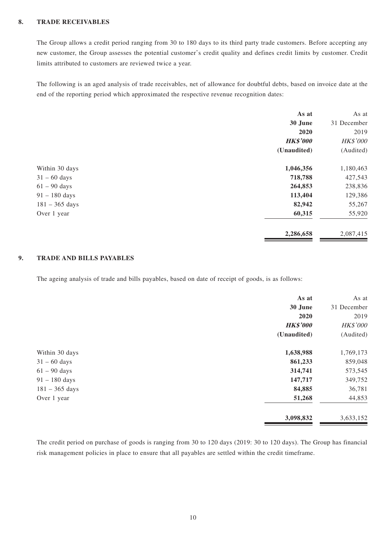#### **8. TRADE RECEIVABLES**

The Group allows a credit period ranging from 30 to 180 days to its third party trade customers. Before accepting any new customer, the Group assesses the potential customer's credit quality and defines credit limits by customer. Credit limits attributed to customers are reviewed twice a year.

The following is an aged analysis of trade receivables, net of allowance for doubtful debts, based on invoice date at the end of the reporting period which approximated the respective revenue recognition dates:

|                  | As at           | As at       |
|------------------|-----------------|-------------|
|                  | 30 June         | 31 December |
|                  | 2020            | 2019        |
|                  | <b>HK\$'000</b> | HK\$'000    |
|                  | (Unaudited)     | (Audited)   |
| Within 30 days   | 1,046,356       | 1,180,463   |
| $31 - 60$ days   | 718,788         | 427,543     |
| $61 - 90$ days   | 264,853         | 238,836     |
| $91 - 180$ days  | 113,404         | 129,386     |
| $181 - 365$ days | 82,942          | 55,267      |
| Over 1 year      | 60,315          | 55,920      |
|                  | 2,286,658       | 2,087,415   |

#### **9. TRADE AND BILLS PAYABLES**

The ageing analysis of trade and bills payables, based on date of receipt of goods, is as follows:

|                  | As at           | As at           |
|------------------|-----------------|-----------------|
|                  | 30 June         | 31 December     |
|                  | 2020            | 2019            |
|                  | <b>HK\$'000</b> | <b>HK\$'000</b> |
|                  | (Unaudited)     | (Audited)       |
| Within 30 days   | 1,638,988       | 1,769,173       |
| $31 - 60$ days   | 861,233         | 859,048         |
| $61 - 90$ days   | 314,741         | 573,545         |
| $91 - 180$ days  | 147,717         | 349,752         |
| $181 - 365$ days | 84,885          | 36,781          |
| Over 1 year      | 51,268          | 44,853          |
|                  | 3,098,832       | 3,633,152       |

The credit period on purchase of goods is ranging from 30 to 120 days (2019: 30 to 120 days). The Group has financial risk management policies in place to ensure that all payables are settled within the credit timeframe.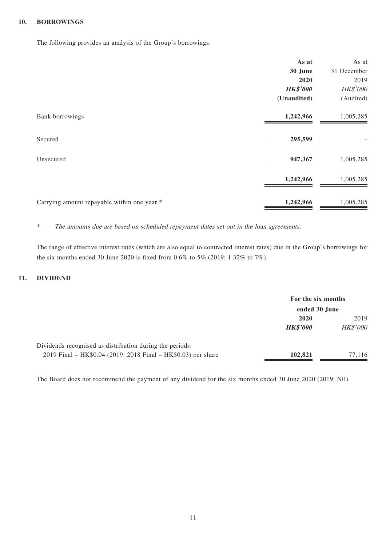#### **10. BORROWINGS**

The following provides an analysis of the Group's borrowings:

|                                             | As at           | As at       |
|---------------------------------------------|-----------------|-------------|
|                                             | 30 June         | 31 December |
|                                             | 2020            | 2019        |
|                                             | <b>HK\$'000</b> | HK\$'000    |
|                                             | (Unaudited)     | (Audited)   |
| Bank borrowings                             | 1,242,966       | 1,005,285   |
| Secured                                     | 295,599         |             |
| Unsecured                                   | 947,367         | 1,005,285   |
|                                             | 1,242,966       | 1,005,285   |
| Carrying amount repayable within one year * | 1,242,966       | 1,005,285   |

\* The amounts due are based on scheduled repayment dates set out in the loan agreements.

The range of effective interest rates (which are also equal to contracted interest rates) due in the Group's borrowings for the six months ended 30 June 2020 is fixed from 0.6% to 5% (2019: 1.32% to 7%).

#### **11. DIVIDEND**

|                                                               | For the six months<br>ended 30 June |                 |
|---------------------------------------------------------------|-------------------------------------|-----------------|
|                                                               |                                     |                 |
|                                                               | 2020                                | 2019            |
|                                                               | <b>HK\$'000</b>                     | <b>HK\$'000</b> |
| Dividends recognised as distribution during the periods:      |                                     |                 |
| 2019 Final – HK\$0.04 (2019: 2018 Final – HK\$0.03) per share | 102,821                             | 77.116          |

The Board does not recommend the payment of any dividend for the six months ended 30 June 2020 (2019: Nil).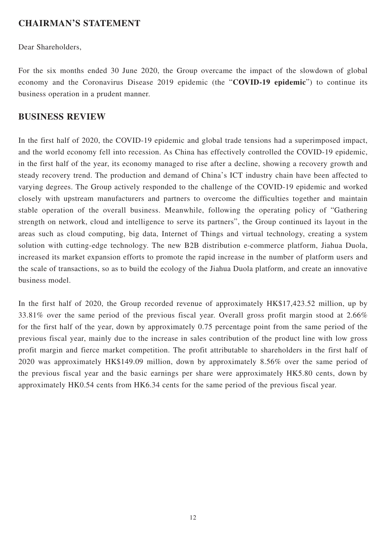### **CHAIRMAN'S STATEMENT**

Dear Shareholders,

For the six months ended 30 June 2020, the Group overcame the impact of the slowdown of global economy and the Coronavirus Disease 2019 epidemic (the "**COVID-19 epidemic**") to continue its business operation in a prudent manner.

### **BUSINESS REVIEW**

In the first half of 2020, the COVID-19 epidemic and global trade tensions had a superimposed impact, and the world economy fell into recession. As China has effectively controlled the COVID-19 epidemic, in the first half of the year, its economy managed to rise after a decline, showing a recovery growth and steady recovery trend. The production and demand of China's ICT industry chain have been affected to varying degrees. The Group actively responded to the challenge of the COVID-19 epidemic and worked closely with upstream manufacturers and partners to overcome the difficulties together and maintain stable operation of the overall business. Meanwhile, following the operating policy of "Gathering strength on network, cloud and intelligence to serve its partners", the Group continued its layout in the areas such as cloud computing, big data, Internet of Things and virtual technology, creating a system solution with cutting-edge technology. The new B2B distribution e-commerce platform, Jiahua Duola, increased its market expansion efforts to promote the rapid increase in the number of platform users and the scale of transactions, so as to build the ecology of the Jiahua Duola platform, and create an innovative business model.

In the first half of 2020, the Group recorded revenue of approximately HK\$17,423.52 million, up by 33.81% over the same period of the previous fiscal year. Overall gross profit margin stood at 2.66% for the first half of the year, down by approximately 0.75 percentage point from the same period of the previous fiscal year, mainly due to the increase in sales contribution of the product line with low gross profit margin and fierce market competition. The profit attributable to shareholders in the first half of 2020 was approximately HK\$149.09 million, down by approximately 8.56% over the same period of the previous fiscal year and the basic earnings per share were approximately HK5.80 cents, down by approximately HK0.54 cents from HK6.34 cents for the same period of the previous fiscal year.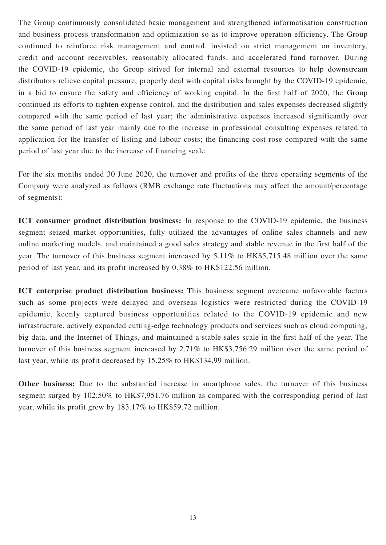The Group continuously consolidated basic management and strengthened informatisation construction and business process transformation and optimization so as to improve operation efficiency. The Group continued to reinforce risk management and control, insisted on strict management on inventory, credit and account receivables, reasonably allocated funds, and accelerated fund turnover. During the COVID-19 epidemic, the Group strived for internal and external resources to help downstream distributors relieve capital pressure, properly deal with capital risks brought by the COVID-19 epidemic, in a bid to ensure the safety and efficiency of working capital. In the first half of 2020, the Group continued its efforts to tighten expense control, and the distribution and sales expenses decreased slightly compared with the same period of last year; the administrative expenses increased significantly over the same period of last year mainly due to the increase in professional consulting expenses related to application for the transfer of listing and labour costs; the financing cost rose compared with the same period of last year due to the increase of financing scale.

For the six months ended 30 June 2020, the turnover and profits of the three operating segments of the Company were analyzed as follows (RMB exchange rate fluctuations may affect the amount/percentage of segments):

**ICT consumer product distribution business:** In response to the COVID-19 epidemic, the business segment seized market opportunities, fully utilized the advantages of online sales channels and new online marketing models, and maintained a good sales strategy and stable revenue in the first half of the year. The turnover of this business segment increased by 5.11% to HK\$5,715.48 million over the same period of last year, and its profit increased by 0.38% to HK\$122.56 million.

**ICT enterprise product distribution business:** This business segment overcame unfavorable factors such as some projects were delayed and overseas logistics were restricted during the COVID-19 epidemic, keenly captured business opportunities related to the COVID-19 epidemic and new infrastructure, actively expanded cutting-edge technology products and services such as cloud computing, big data, and the Internet of Things, and maintained a stable sales scale in the first half of the year. The turnover of this business segment increased by 2.71% to HK\$3,756.29 million over the same period of last year, while its profit decreased by 15.25% to HK\$134.99 million.

**Other business:** Due to the substantial increase in smartphone sales, the turnover of this business segment surged by 102.50% to HK\$7,951.76 million as compared with the corresponding period of last year, while its profit grew by 183.17% to HK\$59.72 million.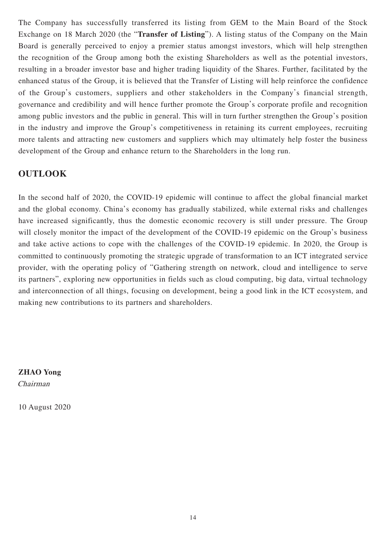The Company has successfully transferred its listing from GEM to the Main Board of the Stock Exchange on 18 March 2020 (the "**Transfer of Listing**"). A listing status of the Company on the Main Board is generally perceived to enjoy a premier status amongst investors, which will help strengthen the recognition of the Group among both the existing Shareholders as well as the potential investors, resulting in a broader investor base and higher trading liquidity of the Shares. Further, facilitated by the enhanced status of the Group, it is believed that the Transfer of Listing will help reinforce the confidence of the Group's customers, suppliers and other stakeholders in the Company's financial strength, governance and credibility and will hence further promote the Group's corporate profile and recognition among public investors and the public in general. This will in turn further strengthen the Group's position in the industry and improve the Group's competitiveness in retaining its current employees, recruiting more talents and attracting new customers and suppliers which may ultimately help foster the business development of the Group and enhance return to the Shareholders in the long run.

### **OUTLOOK**

In the second half of 2020, the COVID-19 epidemic will continue to affect the global financial market and the global economy. China's economy has gradually stabilized, while external risks and challenges have increased significantly, thus the domestic economic recovery is still under pressure. The Group will closely monitor the impact of the development of the COVID-19 epidemic on the Group's business and take active actions to cope with the challenges of the COVID-19 epidemic. In 2020, the Group is committed to continuously promoting the strategic upgrade of transformation to an ICT integrated service provider, with the operating policy of "Gathering strength on network, cloud and intelligence to serve its partners", exploring new opportunities in fields such as cloud computing, big data, virtual technology and interconnection of all things, focusing on development, being a good link in the ICT ecosystem, and making new contributions to its partners and shareholders.

**ZHAO Yong** Chairman

10 August 2020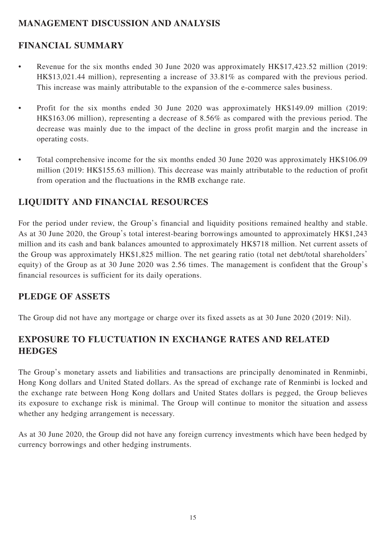# **MANAGEMENT DISCUSSION AND ANALYSIS**

# **FINANCIAL SUMMARY**

- Revenue for the six months ended 30 June 2020 was approximately HK\$17,423.52 million (2019: HK\$13,021.44 million), representing a increase of 33.81% as compared with the previous period. This increase was mainly attributable to the expansion of the e-commerce sales business.
- Profit for the six months ended 30 June 2020 was approximately HK\$149.09 million (2019: HK\$163.06 million), representing a decrease of 8.56% as compared with the previous period. The decrease was mainly due to the impact of the decline in gross profit margin and the increase in operating costs.
- Total comprehensive income for the six months ended 30 June 2020 was approximately HK\$106.09 million (2019: HK\$155.63 million). This decrease was mainly attributable to the reduction of profit from operation and the fluctuations in the RMB exchange rate.

# **LIQUIDITY AND FINANCIAL RESOURCES**

For the period under review, the Group's financial and liquidity positions remained healthy and stable. As at 30 June 2020, the Group's total interest-bearing borrowings amounted to approximately HK\$1,243 million and its cash and bank balances amounted to approximately HK\$718 million. Net current assets of the Group was approximately HK\$1,825 million. The net gearing ratio (total net debt/total shareholders' equity) of the Group as at 30 June 2020 was 2.56 times. The management is confident that the Group's financial resources is sufficient for its daily operations.

# **PLEDGE OF ASSETS**

The Group did not have any mortgage or charge over its fixed assets as at 30 June 2020 (2019: Nil).

# **EXPOSURE TO FLUCTUATION IN EXCHANGE RATES AND RELATED HEDGES**

The Group's monetary assets and liabilities and transactions are principally denominated in Renminbi, Hong Kong dollars and United Stated dollars. As the spread of exchange rate of Renminbi is locked and the exchange rate between Hong Kong dollars and United States dollars is pegged, the Group believes its exposure to exchange risk is minimal. The Group will continue to monitor the situation and assess whether any hedging arrangement is necessary.

As at 30 June 2020, the Group did not have any foreign currency investments which have been hedged by currency borrowings and other hedging instruments.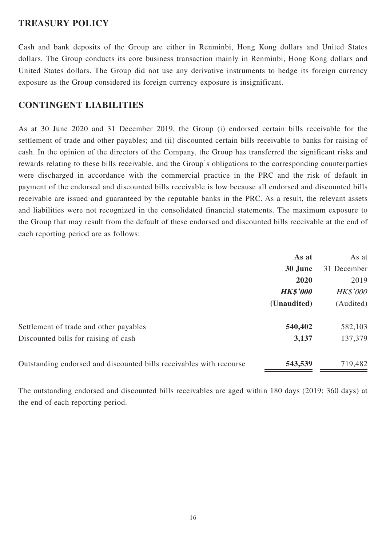### **TREASURY POLICY**

Cash and bank deposits of the Group are either in Renminbi, Hong Kong dollars and United States dollars. The Group conducts its core business transaction mainly in Renminbi, Hong Kong dollars and United States dollars. The Group did not use any derivative instruments to hedge its foreign currency exposure as the Group considered its foreign currency exposure is insignificant.

### **CONTINGENT LIABILITIES**

As at 30 June 2020 and 31 December 2019, the Group (i) endorsed certain bills receivable for the settlement of trade and other payables; and (ii) discounted certain bills receivable to banks for raising of cash. In the opinion of the directors of the Company, the Group has transferred the significant risks and rewards relating to these bills receivable, and the Group's obligations to the corresponding counterparties were discharged in accordance with the commercial practice in the PRC and the risk of default in payment of the endorsed and discounted bills receivable is low because all endorsed and discounted bills receivable are issued and guaranteed by the reputable banks in the PRC. As a result, the relevant assets and liabilities were not recognized in the consolidated financial statements. The maximum exposure to the Group that may result from the default of these endorsed and discounted bills receivable at the end of each reporting period are as follows:

|                                                                     | As at           | As at           |
|---------------------------------------------------------------------|-----------------|-----------------|
|                                                                     | 30 June         | 31 December     |
|                                                                     | 2020            | 2019            |
|                                                                     | <b>HK\$'000</b> | <b>HK\$'000</b> |
|                                                                     | (Unaudited)     | (Audited)       |
| Settlement of trade and other payables                              | 540,402         | 582,103         |
| Discounted bills for raising of cash                                | 3,137           | 137,379         |
| Outstanding endorsed and discounted bills receivables with recourse | 543,539         | 719,482         |

The outstanding endorsed and discounted bills receivables are aged within 180 days (2019: 360 days) at the end of each reporting period.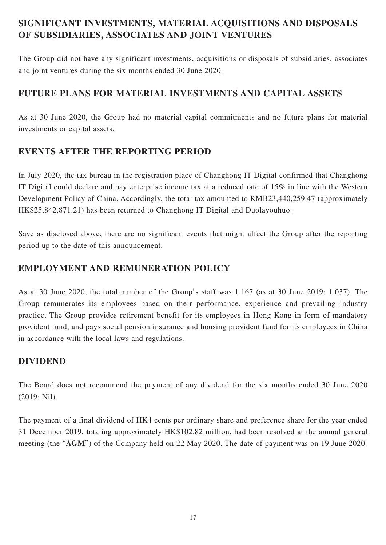# **SIGNIFICANT INVESTMENTS, MATERIAL ACQUISITIONS AND DISPOSALS OF SUBSIDIARIES, ASSOCIATES AND JOINT VENTURES**

The Group did not have any significant investments, acquisitions or disposals of subsidiaries, associates and joint ventures during the six months ended 30 June 2020.

# **FUTURE PLANS FOR MATERIAL INVESTMENTS AND CAPITAL ASSETS**

As at 30 June 2020, the Group had no material capital commitments and no future plans for material investments or capital assets.

# **EVENTS AFTER THE REPORTING PERIOD**

In July 2020, the tax bureau in the registration place of Changhong IT Digital confirmed that Changhong IT Digital could declare and pay enterprise income tax at a reduced rate of 15% in line with the Western Development Policy of China. Accordingly, the total tax amounted to RMB23,440,259.47 (approximately HK\$25,842,871.21) has been returned to Changhong IT Digital and Duolayouhuo.

Save as disclosed above, there are no significant events that might affect the Group after the reporting period up to the date of this announcement.

# **EMPLOYMENT AND REMUNERATION POLICY**

As at 30 June 2020, the total number of the Group's staff was 1,167 (as at 30 June 2019: 1,037). The Group remunerates its employees based on their performance, experience and prevailing industry practice. The Group provides retirement benefit for its employees in Hong Kong in form of mandatory provident fund, and pays social pension insurance and housing provident fund for its employees in China in accordance with the local laws and regulations.

### **DIVIDEND**

The Board does not recommend the payment of any dividend for the six months ended 30 June 2020 (2019: Nil).

The payment of a final dividend of HK4 cents per ordinary share and preference share for the year ended 31 December 2019, totaling approximately HK\$102.82 million, had been resolved at the annual general meeting (the "**AGM**") of the Company held on 22 May 2020. The date of payment was on 19 June 2020.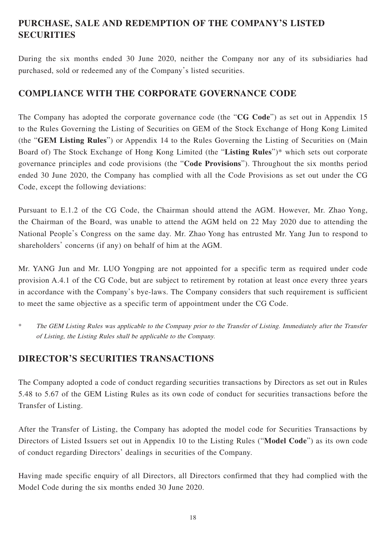# **PURCHASE, SALE AND REDEMPTION OF THE COMPANY'S LISTED SECURITIES**

During the six months ended 30 June 2020, neither the Company nor any of its subsidiaries had purchased, sold or redeemed any of the Company's listed securities.

### **COMPLIANCE WITH THE CORPORATE GOVERNANCE CODE**

The Company has adopted the corporate governance code (the "**CG Code**") as set out in Appendix 15 to the Rules Governing the Listing of Securities on GEM of the Stock Exchange of Hong Kong Limited (the "**GEM Listing Rules**") or Appendix 14 to the Rules Governing the Listing of Securities on (Main Board of) The Stock Exchange of Hong Kong Limited (the "**Listing Rules**")\* which sets out corporate governance principles and code provisions (the "**Code Provisions**"). Throughout the six months period ended 30 June 2020, the Company has complied with all the Code Provisions as set out under the CG Code, except the following deviations:

Pursuant to E.1.2 of the CG Code, the Chairman should attend the AGM. However, Mr. Zhao Yong, the Chairman of the Board, was unable to attend the AGM held on 22 May 2020 due to attending the National People's Congress on the same day. Mr. Zhao Yong has entrusted Mr. Yang Jun to respond to shareholders' concerns (if any) on behalf of him at the AGM.

Mr. YANG Jun and Mr. LUO Yongping are not appointed for a specific term as required under code provision A.4.1 of the CG Code, but are subject to retirement by rotation at least once every three years in accordance with the Company's bye-laws. The Company considers that such requirement is sufficient to meet the same objective as a specific term of appointment under the CG Code.

\* The GEM Listing Rules was applicable to the Company prior to the Transfer of Listing. Immediately after the Transfer of Listing, the Listing Rules shall be applicable to the Company.

# **DIRECTOR'S SECURITIES TRANSACTIONS**

The Company adopted a code of conduct regarding securities transactions by Directors as set out in Rules 5.48 to 5.67 of the GEM Listing Rules as its own code of conduct for securities transactions before the Transfer of Listing.

After the Transfer of Listing, the Company has adopted the model code for Securities Transactions by Directors of Listed Issuers set out in Appendix 10 to the Listing Rules ("**Model Code**") as its own code of conduct regarding Directors' dealings in securities of the Company.

Having made specific enquiry of all Directors, all Directors confirmed that they had complied with the Model Code during the six months ended 30 June 2020.